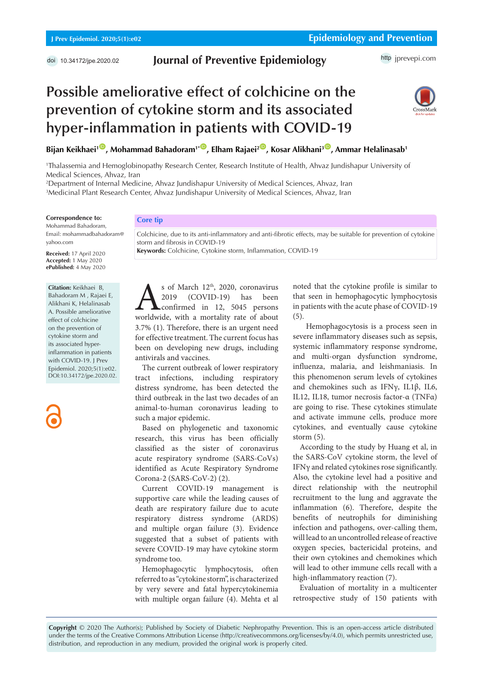# **Journal of Preventive Epidemiology**

http [jprevepi.com](http://jprevepi.com)

# **Possible ameliorative effect of colchicine on the prevention of cytokine storm and its associated hyper-inflammation in patients with COVID-19**



**Bijan Keikhaei<sup>1</sup> <sup>[ID](https://orcid.org/0000-0001-7151-4170)</sup>, Mohammad Bahadoram<sup>1\* ID</sup>, Elham Rajaei<sup>2 ID</sup>, Kosar Alikhani<sup>3 ID</sup>, Ammar Helalinasab<sup>1</sup>** 

1 Thalassemia and Hemoglobinopathy Research Center, Research Institute of Health, Ahvaz Jundishapur University of Medical Sciences, Ahvaz, Iran

2 Department of Internal Medicine, Ahvaz Jundishapur University of Medical Sciences, Ahvaz, Iran 3 Medicinal Plant Research Center, Ahvaz Jundishapur University of Medical Sciences, Ahvaz, Iran

**Correspondence to:**

Mohammad Bahadoram, Email: mohammadbahadoram@ yahoo.com

**Received:** 17 April 2020 **Accepted:** 1 May 2020 **ePublished:** 4 May 2020

**Citation:** Keikhaei B, Bahadoram M , Rajaei E, Alikhani K, Helalinasab A. Possible ameliorative effect of colchicine on the prevention of cytokine storm and its associated hyperinflammation in patients with COVID-19. J Prev Epidemiol. 2020;5(1):e02. DOI:10.34172/jpe.2020.02.

**Core tip**

Colchicine, due to its anti-inflammatory and anti-fibrotic effects, may be suitable for prevention of cytokine storm and fibrosis in COVID-19 **Keywords:** Colchicine, Cytokine storm, Inflammation, COVID-19

Sof March 12<sup>th</sup>, 2020, coronavirus<br>
2019 (COVID-19) has been<br>
confirmed in 12, 5045 persons<br>
worldwide, with a mortality rate of about 2019 (COVID-19) has been confirmed in 12, 5045 persons 3.7% (1). Therefore, there is an urgent need for effective treatment. The current focus has been on developing new drugs, including antivirals and vaccines.

The current outbreak of lower respiratory tract infections, including respiratory distress syndrome, has been detected the third outbreak in the last two decades of an animal-to-human coronavirus leading to such a major epidemic.

Based on phylogenetic and taxonomic research, this virus has been officially classified as the sister of coronavirus acute respiratory syndrome (SARS-CoVs) identified as Acute Respiratory Syndrome Corona-2 (SARS-CoV-2) (2).

Current COVID-19 management is supportive care while the leading causes of death are respiratory failure due to acute respiratory distress syndrome (ARDS) and multiple organ failure (3). Evidence suggested that a subset of patients with severe COVID-19 may have cytokine storm syndrome too.

Hemophagocytic lymphocytosis, often referred to as "cytokine storm", is characterized by very severe and fatal hypercytokinemia with multiple organ failure (4). Mehta et al

noted that the cytokine profile is similar to that seen in hemophagocytic lymphocytosis in patients with the acute phase of COVID-19 (5).

 Hemophagocytosis is a process seen in severe inflammatory diseases such as sepsis, systemic inflammatory response syndrome, and multi-organ dysfunction syndrome, influenza, malaria, and leishmaniasis. In this phenomenon serum levels of cytokines and chemokines such as IFNγ, IL1β, IL6, IL12, IL18, tumor necrosis factor-α (TNFα) are going to rise. These cytokines stimulate and activate immune cells, produce more cytokines, and eventually cause cytokine storm (5).

According to the study by Huang et al, in the SARS-CoV cytokine storm, the level of IFNγ and related cytokines rose significantly. Also, the cytokine level had a positive and direct relationship with the neutrophil recruitment to the lung and aggravate the inflammation (6). Therefore, despite the benefits of neutrophils for diminishing infection and pathogens, over-calling them, will lead to an uncontrolled release of reactive oxygen species, bactericidal proteins, and their own cytokines and chemokines which will lead to other immune cells recall with a high-inflammatory reaction (7).

Evaluation of mortality in a multicenter retrospective study of 150 patients with

**Copyright** © 2020 The Author(s); Published by Society of Diabetic Nephropathy Prevention. This is an open-access article distributed under the terms of the Creative Commons Attribution License (http://creativecommons.org/licenses/by/4.0), which permits unrestricted use, distribution, and reproduction in any medium, provided the original work is properly cited.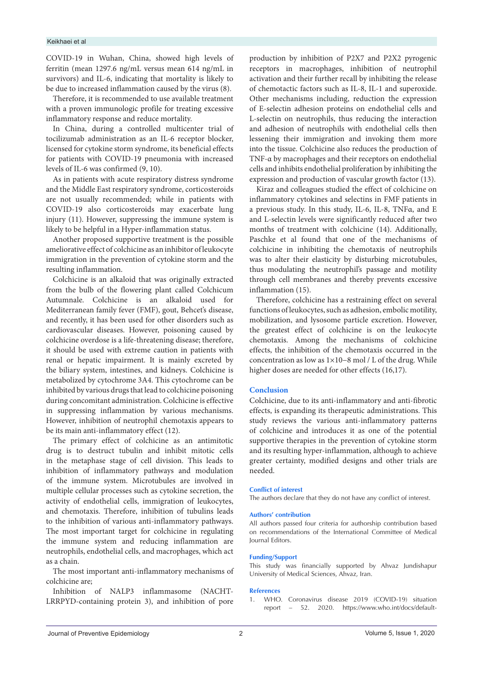#### Keikhaei et al

COVID-19 in Wuhan, China, showed high levels of ferritin (mean 1297.6 ng/mL versus mean 614 ng/mL in survivors) and IL-6, indicating that mortality is likely to be due to increased inflammation caused by the virus (8).

Therefore, it is recommended to use available treatment with a proven immunologic profile for treating excessive inflammatory response and reduce mortality.

In China, during a controlled multicenter trial of tocilizumab administration as an IL-6 receptor blocker, licensed for cytokine storm syndrome, its beneficial effects for patients with COVID-19 pneumonia with increased levels of IL-6 was confirmed (9, 10).

As in patients with acute respiratory distress syndrome and the Middle East respiratory syndrome, corticosteroids are not usually recommended; while in patients with COVID-19 also corticosteroids may exacerbate lung injury (11). However, suppressing the immune system is likely to be helpful in a Hyper-inflammation status.

Another proposed supportive treatment is the possible ameliorative effect of colchicine as an inhibitor of leukocyte immigration in the prevention of cytokine storm and the resulting inflammation.

Colchicine is an alkaloid that was originally extracted from the bulb of the flowering plant called Colchicum Autumnale. Colchicine is an alkaloid used for Mediterranean family fever (FMF), gout, Behcet's disease, and recently, it has been used for other disorders such as cardiovascular diseases. However, poisoning caused by colchicine overdose is a life-threatening disease; therefore, it should be used with extreme caution in patients with renal or hepatic impairment. It is mainly excreted by the biliary system, intestines, and kidneys. Colchicine is metabolized by cytochrome 3A4. This cytochrome can be inhibited by various drugs that lead to colchicine poisoning during concomitant administration. Colchicine is effective in suppressing inflammation by various mechanisms. However, inhibition of neutrophil chemotaxis appears to be its main anti-inflammatory effect (12).

The primary effect of colchicine as an antimitotic drug is to destruct tubulin and inhibit mitotic cells in the metaphase stage of cell division. This leads to inhibition of inflammatory pathways and modulation of the immune system. Microtubules are involved in multiple cellular processes such as cytokine secretion, the activity of endothelial cells, immigration of leukocytes, and chemotaxis. Therefore, inhibition of tubulins leads to the inhibition of various anti-inflammatory pathways. The most important target for colchicine in regulating the immune system and reducing inflammation are neutrophils, endothelial cells, and macrophages, which act as a chain.

The most important anti-inflammatory mechanisms of colchicine are;

Inhibition of NALP3 inflammasome (NACHT-LRRPYD-containing protein 3), and inhibition of pore production by inhibition of P2X7 and P2X2 pyrogenic receptors in macrophages, inhibition of neutrophil activation and their further recall by inhibiting the release of chemotactic factors such as IL-8, IL-1 and superoxide. Other mechanisms including, reduction the expression of E-selectin adhesion proteins on endothelial cells and L-selectin on neutrophils, thus reducing the interaction and adhesion of neutrophils with endothelial cells then lessening their immigration and invoking them more into the tissue. Colchicine also reduces the production of TNF-α by macrophages and their receptors on endothelial cells and inhibits endothelial proliferation by inhibiting the expression and production of vascular growth factor (13).

Kiraz and colleagues studied the effect of colchicine on inflammatory cytokines and selectins in FMF patients in a previous study. In this study, IL-6, IL-8, TNFα, and E and L-selectin levels were significantly reduced after two months of treatment with colchicine (14). Additionally, Paschke et al found that one of the mechanisms of colchicine in inhibiting the chemotaxis of neutrophils was to alter their elasticity by disturbing microtubules, thus modulating the neutrophil's passage and motility through cell membranes and thereby prevents excessive inflammation (15).

Therefore, colchicine has a restraining effect on several functions of leukocytes, such as adhesion, embolic motility, mobilization, and lysosome particle excretion. However, the greatest effect of colchicine is on the leukocyte chemotaxis. Among the mechanisms of colchicine effects, the inhibition of the chemotaxis occurred in the concentration as low as 1×10−8 mol / L of the drug. While higher doses are needed for other effects (16,17).

## **Conclusion**

Colchicine, due to its anti-inflammatory and anti-fibrotic effects, is expanding its therapeutic administrations. This study reviews the various anti-inflammatory patterns of colchicine and introduces it as one of the potential supportive therapies in the prevention of cytokine storm and its resulting hyper-inflammation, although to achieve greater certainty, modified designs and other trials are needed.

### **Conflict of interest**

The authors declare that they do not have any conflict of interest.

### **Authors' contribution**

All authors passed four criteria for authorship contribution based on recommendations of the International Committee of Medical Journal Editors.

#### **Funding/Support**

This study was financially supported by Ahvaz Jundishapur University of Medical Sciences, Ahvaz, Iran.

#### **References**

1. WHO. Coronavirus disease 2019 (COVID-19) situation report – 52. 2020. [https://www.who.int/docs/default-](https://www.who.int/docs/default-source/coronaviruse/20200312-sitrep-52-covid-19.pdf?sfvrsn=e2bfc9c0_2)